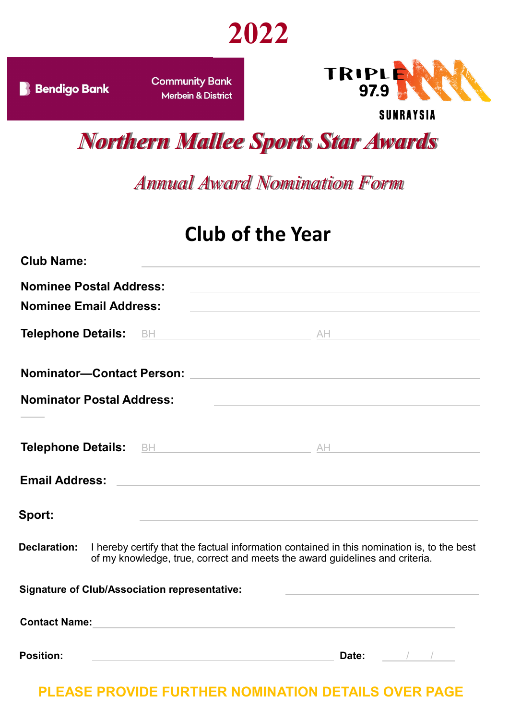



**Community Bank Merbein & District** 



**SUNRAYSIA** 

## *Northern Mallee Sports Star Awards*

## *Annual Award Nomination Form*

## **Club of the Year**

| <b>Club Name:</b>                |                                                                                                                | the control of the control of the control of the control of the control of                                                                                                |               |  |
|----------------------------------|----------------------------------------------------------------------------------------------------------------|---------------------------------------------------------------------------------------------------------------------------------------------------------------------------|---------------|--|
| <b>Nominee Postal Address:</b>   |                                                                                                                |                                                                                                                                                                           |               |  |
| <b>Nominee Email Address:</b>    |                                                                                                                |                                                                                                                                                                           |               |  |
|                                  |                                                                                                                | Telephone Details: BH BH AND AND AND AND AND AND AND AND ALL AND AND ALL AND AND AND AND ALL AND AND AND AND A                                                            |               |  |
|                                  |                                                                                                                |                                                                                                                                                                           |               |  |
| <b>Nominator Postal Address:</b> |                                                                                                                | the control of the control of the control of the control of the control of                                                                                                |               |  |
|                                  |                                                                                                                |                                                                                                                                                                           |               |  |
| <b>Email Address:</b>            |                                                                                                                | <u> 1989 - Johann Barbara, martxa eta batarra (h. 1989).</u>                                                                                                              |               |  |
| Sport:                           |                                                                                                                | <u> 1989 - Johann Barn, amerikansk politiker (d. 1989)</u>                                                                                                                |               |  |
| Declaration:                     |                                                                                                                | I hereby certify that the factual information contained in this nomination is, to the best<br>of my knowledge, true, correct and meets the award guidelines and criteria. |               |  |
|                                  | <b>Signature of Club/Association representative:</b>                                                           | the control of the control of the control of the control of the control of the control of                                                                                 |               |  |
| <b>Contact Name:</b>             |                                                                                                                |                                                                                                                                                                           |               |  |
| <b>Position:</b>                 | a sa mga bangay na mga bangay ng mga bangay ng mga bangay ng mga bangay ng mga bangay ng mga bangay ng mga ban | Date:                                                                                                                                                                     | $\frac{1}{2}$ |  |

## **PLEASE PROVIDE FURTHER NOMINATION DETAILS OVER PAGE**